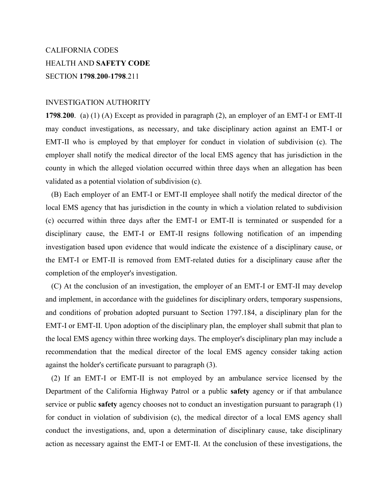# CALIFORNIA CODES HEALTH AND **SAFETY CODE** SECTION **1798**.**200**-**1798**.211

## INVESTIGATION AUTHORITY

**1798**.**200**. (a) (1) (A) Except as provided in paragraph (2), an employer of an EMT-I or EMT-II may conduct investigations, as necessary, and take disciplinary action against an EMT-I or EMT-II who is employed by that employer for conduct in violation of subdivision (c). The employer shall notify the medical director of the local EMS agency that has jurisdiction in the county in which the alleged violation occurred within three days when an allegation has been validated as a potential violation of subdivision (c).

 (B) Each employer of an EMT-I or EMT-II employee shall notify the medical director of the local EMS agency that has jurisdiction in the county in which a violation related to subdivision (c) occurred within three days after the EMT-I or EMT-II is terminated or suspended for a disciplinary cause, the EMT-I or EMT-II resigns following notification of an impending investigation based upon evidence that would indicate the existence of a disciplinary cause, or the EMT-I or EMT-II is removed from EMT-related duties for a disciplinary cause after the completion of the employer's investigation.

 (C) At the conclusion of an investigation, the employer of an EMT-I or EMT-II may develop and implement, in accordance with the guidelines for disciplinary orders, temporary suspensions, and conditions of probation adopted pursuant to Section 1797.184, a disciplinary plan for the EMT-I or EMT-II. Upon adoption of the disciplinary plan, the employer shall submit that plan to the local EMS agency within three working days. The employer's disciplinary plan may include a recommendation that the medical director of the local EMS agency consider taking action against the holder's certificate pursuant to paragraph (3).

 (2) If an EMT-I or EMT-II is not employed by an ambulance service licensed by the Department of the California Highway Patrol or a public **safety** agency or if that ambulance service or public **safety** agency chooses not to conduct an investigation pursuant to paragraph (1) for conduct in violation of subdivision (c), the medical director of a local EMS agency shall conduct the investigations, and, upon a determination of disciplinary cause, take disciplinary action as necessary against the EMT-I or EMT-II. At the conclusion of these investigations, the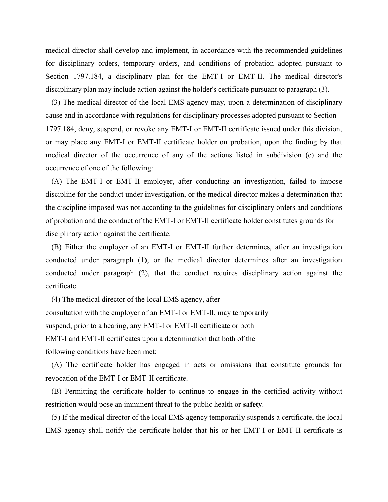medical director shall develop and implement, in accordance with the recommended guidelines for disciplinary orders, temporary orders, and conditions of probation adopted pursuant to Section 1797.184, a disciplinary plan for the EMT-I or EMT-II. The medical director's disciplinary plan may include action against the holder's certificate pursuant to paragraph (3).

 (3) The medical director of the local EMS agency may, upon a determination of disciplinary cause and in accordance with regulations for disciplinary processes adopted pursuant to Section 1797.184, deny, suspend, or revoke any EMT-I or EMT-II certificate issued under this division, or may place any EMT-I or EMT-II certificate holder on probation, upon the finding by that medical director of the occurrence of any of the actions listed in subdivision (c) and the occurrence of one of the following:

 (A) The EMT-I or EMT-II employer, after conducting an investigation, failed to impose discipline for the conduct under investigation, or the medical director makes a determination that the discipline imposed was not according to the guidelines for disciplinary orders and conditions of probation and the conduct of the EMT-I or EMT-II certificate holder constitutes grounds for disciplinary action against the certificate.

 (B) Either the employer of an EMT-I or EMT-II further determines, after an investigation conducted under paragraph (1), or the medical director determines after an investigation conducted under paragraph (2), that the conduct requires disciplinary action against the certificate.

 (4) The medical director of the local EMS agency, after consultation with the employer of an EMT-I or EMT-II, may temporarily suspend, prior to a hearing, any EMT-I or EMT-II certificate or both EMT-I and EMT-II certificates upon a determination that both of the following conditions have been met:

 (A) The certificate holder has engaged in acts or omissions that constitute grounds for revocation of the EMT-I or EMT-II certificate.

 (B) Permitting the certificate holder to continue to engage in the certified activity without restriction would pose an imminent threat to the public health or **safety**.

 (5) If the medical director of the local EMS agency temporarily suspends a certificate, the local EMS agency shall notify the certificate holder that his or her EMT-I or EMT-II certificate is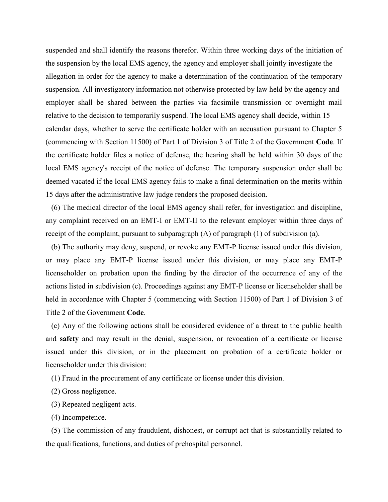suspended and shall identify the reasons therefor. Within three working days of the initiation of the suspension by the local EMS agency, the agency and employer shall jointly investigate the allegation in order for the agency to make a determination of the continuation of the temporary suspension. All investigatory information not otherwise protected by law held by the agency and employer shall be shared between the parties via facsimile transmission or overnight mail relative to the decision to temporarily suspend. The local EMS agency shall decide, within 15 calendar days, whether to serve the certificate holder with an accusation pursuant to Chapter 5 (commencing with Section 11500) of Part 1 of Division 3 of Title 2 of the Government **Code**. If the certificate holder files a notice of defense, the hearing shall be held within 30 days of the local EMS agency's receipt of the notice of defense. The temporary suspension order shall be deemed vacated if the local EMS agency fails to make a final determination on the merits within 15 days after the administrative law judge renders the proposed decision.

 (6) The medical director of the local EMS agency shall refer, for investigation and discipline, any complaint received on an EMT-I or EMT-II to the relevant employer within three days of receipt of the complaint, pursuant to subparagraph (A) of paragraph (1) of subdivision (a).

 (b) The authority may deny, suspend, or revoke any EMT-P license issued under this division, or may place any EMT-P license issued under this division, or may place any EMT-P licenseholder on probation upon the finding by the director of the occurrence of any of the actions listed in subdivision (c). Proceedings against any EMT-P license or licenseholder shall be held in accordance with Chapter 5 (commencing with Section 11500) of Part 1 of Division 3 of Title 2 of the Government **Code**.

 (c) Any of the following actions shall be considered evidence of a threat to the public health and **safety** and may result in the denial, suspension, or revocation of a certificate or license issued under this division, or in the placement on probation of a certificate holder or licenseholder under this division:

(1) Fraud in the procurement of any certificate or license under this division.

(2) Gross negligence.

(3) Repeated negligent acts.

(4) Incompetence.

 (5) The commission of any fraudulent, dishonest, or corrupt act that is substantially related to the qualifications, functions, and duties of prehospital personnel.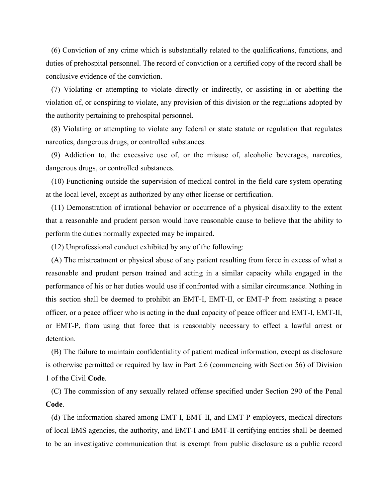(6) Conviction of any crime which is substantially related to the qualifications, functions, and duties of prehospital personnel. The record of conviction or a certified copy of the record shall be conclusive evidence of the conviction.

 (7) Violating or attempting to violate directly or indirectly, or assisting in or abetting the violation of, or conspiring to violate, any provision of this division or the regulations adopted by the authority pertaining to prehospital personnel.

 (8) Violating or attempting to violate any federal or state statute or regulation that regulates narcotics, dangerous drugs, or controlled substances.

 (9) Addiction to, the excessive use of, or the misuse of, alcoholic beverages, narcotics, dangerous drugs, or controlled substances.

 (10) Functioning outside the supervision of medical control in the field care system operating at the local level, except as authorized by any other license or certification.

 (11) Demonstration of irrational behavior or occurrence of a physical disability to the extent that a reasonable and prudent person would have reasonable cause to believe that the ability to perform the duties normally expected may be impaired.

(12) Unprofessional conduct exhibited by any of the following:

 (A) The mistreatment or physical abuse of any patient resulting from force in excess of what a reasonable and prudent person trained and acting in a similar capacity while engaged in the performance of his or her duties would use if confronted with a similar circumstance. Nothing in this section shall be deemed to prohibit an EMT-I, EMT-II, or EMT-P from assisting a peace officer, or a peace officer who is acting in the dual capacity of peace officer and EMT-I, EMT-II, or EMT-P, from using that force that is reasonably necessary to effect a lawful arrest or detention.

 (B) The failure to maintain confidentiality of patient medical information, except as disclosure is otherwise permitted or required by law in Part 2.6 (commencing with Section 56) of Division 1 of the Civil **Code**.

 (C) The commission of any sexually related offense specified under Section 290 of the Penal **Code**.

 (d) The information shared among EMT-I, EMT-II, and EMT-P employers, medical directors of local EMS agencies, the authority, and EMT-I and EMT-II certifying entities shall be deemed to be an investigative communication that is exempt from public disclosure as a public record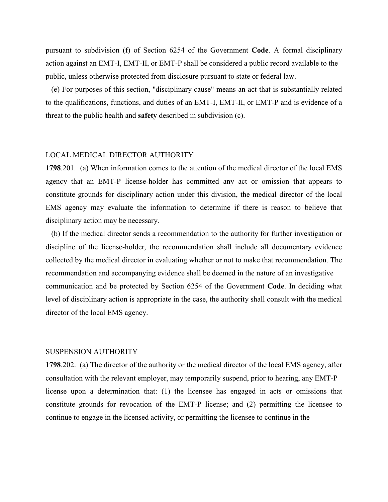pursuant to subdivision (f) of Section 6254 of the Government **Code**. A formal disciplinary action against an EMT-I, EMT-II, or EMT-P shall be considered a public record available to the public, unless otherwise protected from disclosure pursuant to state or federal law.

 (e) For purposes of this section, "disciplinary cause" means an act that is substantially related to the qualifications, functions, and duties of an EMT-I, EMT-II, or EMT-P and is evidence of a threat to the public health and **safety** described in subdivision (c).

## LOCAL MEDICAL DIRECTOR AUTHORITY

**1798**.201. (a) When information comes to the attention of the medical director of the local EMS agency that an EMT-P license-holder has committed any act or omission that appears to constitute grounds for disciplinary action under this division, the medical director of the local EMS agency may evaluate the information to determine if there is reason to believe that disciplinary action may be necessary.

 (b) If the medical director sends a recommendation to the authority for further investigation or discipline of the license-holder, the recommendation shall include all documentary evidence collected by the medical director in evaluating whether or not to make that recommendation. The recommendation and accompanying evidence shall be deemed in the nature of an investigative communication and be protected by Section 6254 of the Government **Code**. In deciding what level of disciplinary action is appropriate in the case, the authority shall consult with the medical director of the local EMS agency.

## SUSPENSION AUTHORITY

**1798**.202. (a) The director of the authority or the medical director of the local EMS agency, after consultation with the relevant employer, may temporarily suspend, prior to hearing, any EMT-P license upon a determination that: (1) the licensee has engaged in acts or omissions that constitute grounds for revocation of the EMT-P license; and (2) permitting the licensee to continue to engage in the licensed activity, or permitting the licensee to continue in the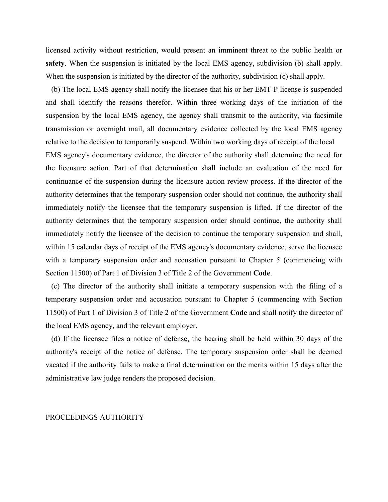licensed activity without restriction, would present an imminent threat to the public health or **safety**. When the suspension is initiated by the local EMS agency, subdivision (b) shall apply. When the suspension is initiated by the director of the authority, subdivision (c) shall apply.

 (b) The local EMS agency shall notify the licensee that his or her EMT-P license is suspended and shall identify the reasons therefor. Within three working days of the initiation of the suspension by the local EMS agency, the agency shall transmit to the authority, via facsimile transmission or overnight mail, all documentary evidence collected by the local EMS agency relative to the decision to temporarily suspend. Within two working days of receipt of the local EMS agency's documentary evidence, the director of the authority shall determine the need for the licensure action. Part of that determination shall include an evaluation of the need for continuance of the suspension during the licensure action review process. If the director of the authority determines that the temporary suspension order should not continue, the authority shall immediately notify the licensee that the temporary suspension is lifted. If the director of the authority determines that the temporary suspension order should continue, the authority shall immediately notify the licensee of the decision to continue the temporary suspension and shall, within 15 calendar days of receipt of the EMS agency's documentary evidence, serve the licensee with a temporary suspension order and accusation pursuant to Chapter 5 (commencing with Section 11500) of Part 1 of Division 3 of Title 2 of the Government **Code**.

 (c) The director of the authority shall initiate a temporary suspension with the filing of a temporary suspension order and accusation pursuant to Chapter 5 (commencing with Section 11500) of Part 1 of Division 3 of Title 2 of the Government **Code** and shall notify the director of the local EMS agency, and the relevant employer.

 (d) If the licensee files a notice of defense, the hearing shall be held within 30 days of the authority's receipt of the notice of defense. The temporary suspension order shall be deemed vacated if the authority fails to make a final determination on the merits within 15 days after the administrative law judge renders the proposed decision.

#### PROCEEDINGS AUTHORITY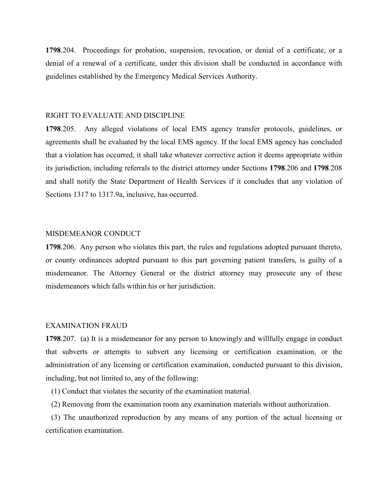**1798**.204. Proceedings for probation, suspension, revocation, or denial of a certificate, or a denial of a renewal of a certificate, under this division shall be conducted in accordance with guidelines established by the Emergency Medical Services Authority.

## RIGHT TO EVALUATE AND DISCIPLINE

**1798**.205. Any alleged violations of local EMS agency transfer protocols, guidelines, or agreements shall be evaluated by the local EMS agency. If the local EMS agency has concluded that a violation has occurred, it shall take whatever corrective action it deems appropriate within its jurisdiction, including referrals to the district attorney under Sections **1798**.206 and **1798**.208 and shall notify the State Department of Health Services if it concludes that any violation of Sections 1317 to 1317.9a, inclusive, has occurred.

## MISDEMEANOR CONDUCT

**1798**.206. Any person who violates this part, the rules and regulations adopted pursuant thereto, or county ordinances adopted pursuant to this part governing patient transfers, is guilty of a misdemeanor. The Attorney General or the district attorney may prosecute any of these misdemeanors which falls within his or her jurisdiction.

## EXAMINATION FRAUD

**1798**.207. (a) It is a misdemeanor for any person to knowingly and willfully engage in conduct that subverts or attempts to subvert any licensing or certification examination, or the administration of any licensing or certification examination, conducted pursuant to this division, including, but not limited to, any of the following:

(1) Conduct that violates the security of the examination material.

(2) Removing from the examination room any examination materials without authorization.

 (3) The unauthorized reproduction by any means of any portion of the actual licensing or certification examination.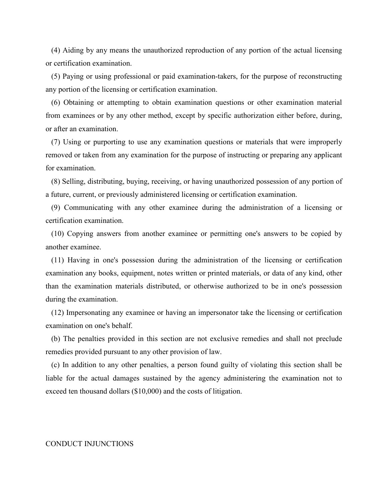(4) Aiding by any means the unauthorized reproduction of any portion of the actual licensing or certification examination.

 (5) Paying or using professional or paid examination-takers, for the purpose of reconstructing any portion of the licensing or certification examination.

 (6) Obtaining or attempting to obtain examination questions or other examination material from examinees or by any other method, except by specific authorization either before, during, or after an examination.

 (7) Using or purporting to use any examination questions or materials that were improperly removed or taken from any examination for the purpose of instructing or preparing any applicant for examination.

 (8) Selling, distributing, buying, receiving, or having unauthorized possession of any portion of a future, current, or previously administered licensing or certification examination.

 (9) Communicating with any other examinee during the administration of a licensing or certification examination.

 (10) Copying answers from another examinee or permitting one's answers to be copied by another examinee.

 (11) Having in one's possession during the administration of the licensing or certification examination any books, equipment, notes written or printed materials, or data of any kind, other than the examination materials distributed, or otherwise authorized to be in one's possession during the examination.

 (12) Impersonating any examinee or having an impersonator take the licensing or certification examination on one's behalf.

 (b) The penalties provided in this section are not exclusive remedies and shall not preclude remedies provided pursuant to any other provision of law.

 (c) In addition to any other penalties, a person found guilty of violating this section shall be liable for the actual damages sustained by the agency administering the examination not to exceed ten thousand dollars (\$10,000) and the costs of litigation.

#### CONDUCT INJUNCTIONS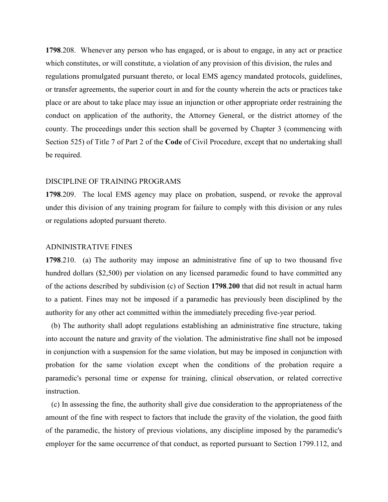**1798**.208. Whenever any person who has engaged, or is about to engage, in any act or practice which constitutes, or will constitute, a violation of any provision of this division, the rules and regulations promulgated pursuant thereto, or local EMS agency mandated protocols, guidelines, or transfer agreements, the superior court in and for the county wherein the acts or practices take place or are about to take place may issue an injunction or other appropriate order restraining the conduct on application of the authority, the Attorney General, or the district attorney of the county. The proceedings under this section shall be governed by Chapter 3 (commencing with Section 525) of Title 7 of Part 2 of the **Code** of Civil Procedure, except that no undertaking shall be required.

## DISCIPLINE OF TRAINING PROGRAMS

**1798**.209. The local EMS agency may place on probation, suspend, or revoke the approval under this division of any training program for failure to comply with this division or any rules or regulations adopted pursuant thereto.

## ADNINISTRATIVE FINES

**1798**.210. (a) The authority may impose an administrative fine of up to two thousand five hundred dollars (\$2,500) per violation on any licensed paramedic found to have committed any of the actions described by subdivision (c) of Section **1798**.**200** that did not result in actual harm to a patient. Fines may not be imposed if a paramedic has previously been disciplined by the authority for any other act committed within the immediately preceding five-year period.

 (b) The authority shall adopt regulations establishing an administrative fine structure, taking into account the nature and gravity of the violation. The administrative fine shall not be imposed in conjunction with a suspension for the same violation, but may be imposed in conjunction with probation for the same violation except when the conditions of the probation require a paramedic's personal time or expense for training, clinical observation, or related corrective instruction.

 (c) In assessing the fine, the authority shall give due consideration to the appropriateness of the amount of the fine with respect to factors that include the gravity of the violation, the good faith of the paramedic, the history of previous violations, any discipline imposed by the paramedic's employer for the same occurrence of that conduct, as reported pursuant to Section 1799.112, and